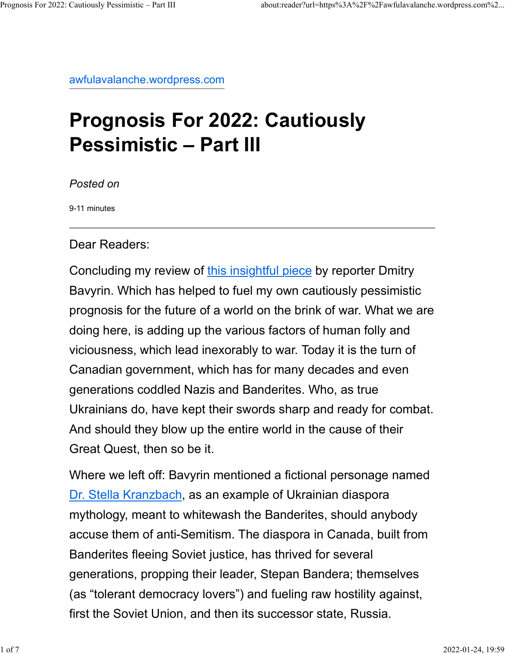awfulavalanche.wordpress.com

## Prognosis For 2022: Cautiously Pessimistic – Part III

Posted on

9-11 minutes

Dear Readers:

Concluding my review of this insightful piece by reporter Dmitry Bavyrin. Which has helped to fuel my own cautiously pessimistic prognosis for the future of a world on the brink of war. What we are doing here, is adding up the various factors of human folly and viciousness, which lead inexorably to war. Today it is the turn of Canadian government, which has for many decades and even generations coddled Nazis and Banderites. Who, as true Ukrainians do, have kept their swords sharp and ready for combat. And should they blow up the entire world in the cause of their Great Quest, then so be it.

Where we left off: Bavyrin mentioned a fictional personage named Dr. Stella Kranzbach, as an example of Ukrainian diaspora mythology, meant to whitewash the Banderites, should anybody accuse them of anti-Semitism. The diaspora in Canada, built from Banderites fleeing Soviet justice, has thrived for several generations, propping their leader, Stepan Bandera; themselves (as "tolerant democracy lovers") and fueling raw hostility against, first the Soviet Union, and then its successor state, Russia.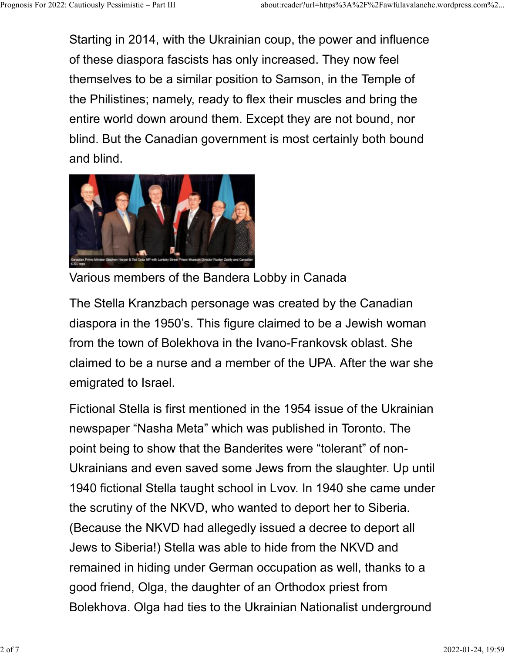Starting in 2014, with the Ukrainian coup, the power and influence of these diaspora fascists has only increased. They now feel themselves to be a similar position to Samson, in the Temple of the Philistines; namely, ready to flex their muscles and bring the entire world down around them. Except they are not bound, nor blind. But the Canadian government is most certainly both bound and blind. Prognosis For 2022: Cautiously Pessimistic – Part III about:reader?url=https%3A%2F%2Fawfulavalanche.wordpress.com%2...<br>Starting in 2014, with the Ukrainian coup, the power and influence<br>of these diaspora fascists has only



Various members of the Bandera Lobby in Canada

The Stella Kranzbach personage was created by the Canadian diaspora in the 1950's. This figure claimed to be a Jewish woman from the town of Bolekhova in the Ivano-Frankovsk oblast. She claimed to be a nurse and a member of the UPA. After the war she emigrated to Israel.

Fictional Stella is first mentioned in the 1954 issue of the Ukrainian newspaper "Nasha Meta" which was published in Toronto. The point being to show that the Banderites were "tolerant" of non-Ukrainians and even saved some Jews from the slaughter. Up until 1940 fictional Stella taught school in Lvov. In 1940 she came under the scrutiny of the NKVD, who wanted to deport her to Siberia. (Because the NKVD had allegedly issued a decree to deport all Jews to Siberia!) Stella was able to hide from the NKVD and remained in hiding under German occupation as well, thanks to a good friend, Olga, the daughter of an Orthodox priest from Bolekhova. Olga had ties to the Ukrainian Nationalist underground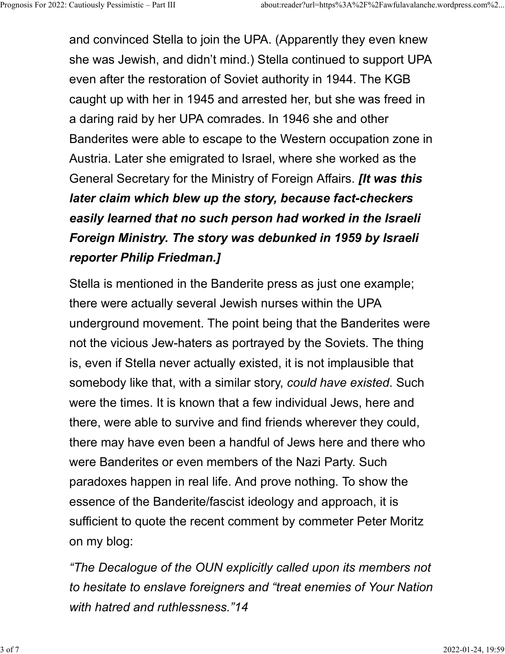and convinced Stella to join the UPA. (Apparently they even knew she was Jewish, and didn't mind.) Stella continued to support UPA even after the restoration of Soviet authority in 1944. The KGB caught up with her in 1945 and arrested her, but she was freed in a daring raid by her UPA comrades. In 1946 she and other Banderites were able to escape to the Western occupation zone in Austria. Later she emigrated to Israel, where she worked as the General Secretary for the Ministry of Foreign Affairs. *It was this* later claim which blew up the story, because fact-checkers easily learned that no such person had worked in the Israeli Foreign Ministry. The story was debunked in 1959 by Israeli reporter Philip Friedman.] Prognosis For 2022: Cautiously Pessimistic – Part III about:reader?url=https%3A%2F%2Fawfulavalanche.wordpress.com%2...<br>and convinced Stella to join the UPA. (Apparently they even knew<br>be was lewish and didn't mind ) Stella

> Stella is mentioned in the Banderite press as just one example; there were actually several Jewish nurses within the UPA underground movement. The point being that the Banderites were not the vicious Jew-haters as portrayed by the Soviets. The thing is, even if Stella never actually existed, it is not implausible that somebody like that, with a similar story, could have existed. Such were the times. It is known that a few individual Jews, here and there, were able to survive and find friends wherever they could, there may have even been a handful of Jews here and there who were Banderites or even members of the Nazi Party. Such paradoxes happen in real life. And prove nothing. To show the essence of the Banderite/fascist ideology and approach, it is sufficient to quote the recent comment by commeter Peter Moritz on my blog:

> "The Decalogue of the OUN explicitly called upon its members not to hesitate to enslave foreigners and "treat enemies of Your Nation with hatred and ruthlessness."14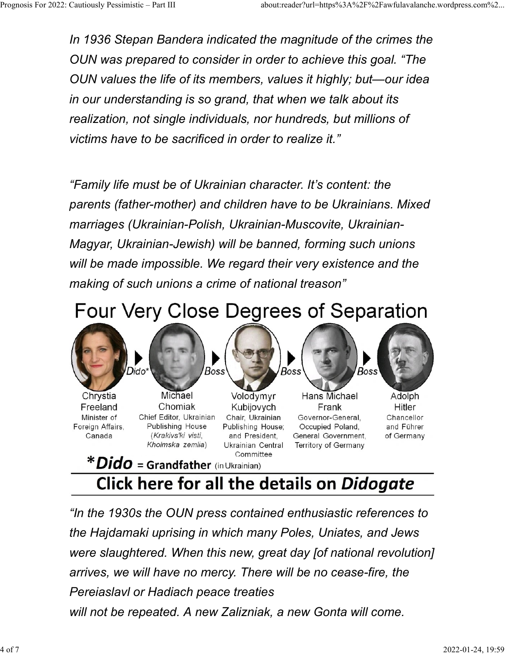In 1936 Stepan Bandera indicated the magnitude of the crimes the OUN was prepared to consider in order to achieve this goal. "The OUN values the life of its members, values it highly; but—our idea in our understanding is so grand, that when we talk about its realization, not single individuals, nor hundreds, but millions of victims have to be sacrificed in order to realize it." Prognosis For 2022: Cautiously Pessimistic – Part III about:reader?url=https%3A%2F%2Fawfulavalanche.wordpress.com%2...<br>In 1936 Stepan Bandera indicated the magnitude of the crimes the<br>QUN was prepared to consider in order

> "Family life must be of Ukrainian character. It's content: the parents (father-mother) and children have to be Ukrainians. Mixed marriages (Ukrainian-Polish, Ukrainian-Muscovite, Ukrainian-Magyar, Ukrainian-Jewish) will be banned, forming such unions will be made impossible. We regard their very existence and the making of such unions a crime of national treason"





## Click here for all the details on Didogate

"In the 1930s the OUN press contained enthusiastic references to the Hajdamaki uprising in which many Poles, Uniates, and Jews were slaughtered. When this new, great day [of national revolution] arrives, we will have no mercy. There will be no cease-fire, the Pereiaslavl or Hadiach peace treaties will not be repeated. A new Zalizniak, a new Gonta will come.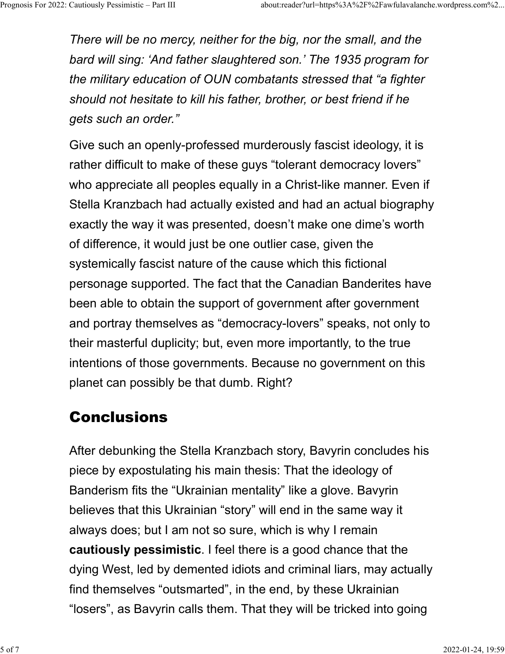There will be no mercy, neither for the big, nor the small, and the bard will sing: 'And father slaughtered son.' The 1935 program for the military education of OUN combatants stressed that "a fighter should not hesitate to kill his father, brother, or best friend if he gets such an order." Prognosis For 2022: Cautiously Pessimistic – Part III about:reader?url=https%3A%2F%2Fawfulavalanche.wordpress.com%2...<br>
There will be no mercy, neither for the big, nor the small, and the<br>
bard will sing: 'And father slaug

> Give such an openly-professed murderously fascist ideology, it is rather difficult to make of these guys "tolerant democracy lovers" who appreciate all peoples equally in a Christ-like manner. Even if Stella Kranzbach had actually existed and had an actual biography exactly the way it was presented, doesn't make one dime's worth of difference, it would just be one outlier case, given the systemically fascist nature of the cause which this fictional personage supported. The fact that the Canadian Banderites have been able to obtain the support of government after government and portray themselves as "democracy-lovers" speaks, not only to their masterful duplicity; but, even more importantly, to the true intentions of those governments. Because no government on this planet can possibly be that dumb. Right?

## Conclusions

After debunking the Stella Kranzbach story, Bavyrin concludes his piece by expostulating his main thesis: That the ideology of Banderism fits the "Ukrainian mentality" like a glove. Bavyrin believes that this Ukrainian "story" will end in the same way it always does; but I am not so sure, which is why I remain cautiously pessimistic. I feel there is a good chance that the dying West, led by demented idiots and criminal liars, may actually find themselves "outsmarted", in the end, by these Ukrainian "losers", as Bavyrin calls them. That they will be tricked into going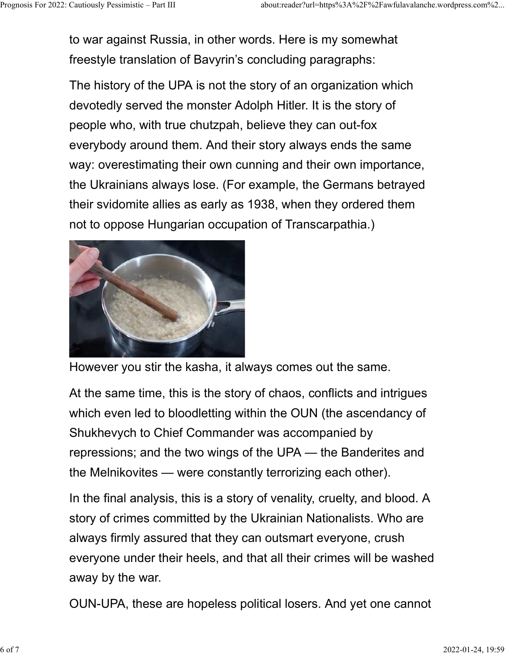to war against Russia, in other words. Here is my somewhat freestyle translation of Bavyrin's concluding paragraphs: Prognosis For 2022: Cautiously Pessimistic – Part III about:reader?url=https%3A%2F%2Fawfulavalanche.wordpress.com%2...<br>
to war against Russia, in other words. Here is my somewhat<br>
freestyle translation of Bayyrin's conclud

> The history of the UPA is not the story of an organization which devotedly served the monster Adolph Hitler. It is the story of people who, with true chutzpah, believe they can out-fox everybody around them. And their story always ends the same way: overestimating their own cunning and their own importance, the Ukrainians always lose. (For example, the Germans betrayed their svidomite allies as early as 1938, when they ordered them not to oppose Hungarian occupation of Transcarpathia.)



However you stir the kasha, it always comes out the same.

At the same time, this is the story of chaos, conflicts and intrigues which even led to bloodletting within the OUN (the ascendancy of Shukhevych to Chief Commander was accompanied by repressions; and the two wings of the UPA — the Banderites and the Melnikovites — were constantly terrorizing each other).

In the final analysis, this is a story of venality, cruelty, and blood. A story of crimes committed by the Ukrainian Nationalists. Who are always firmly assured that they can outsmart everyone, crush everyone under their heels, and that all their crimes will be washed away by the war.

OUN-UPA, these are hopeless political losers. And yet one cannot